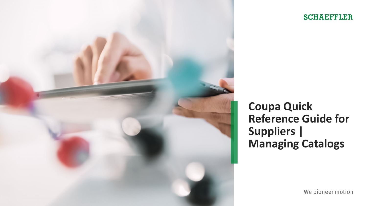

# **SCHAEFFLER**

**Coupa Quick Reference Guide for Suppliers | Managing Catalogs**

We pioneer motion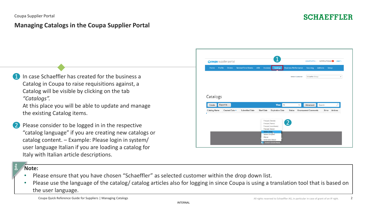# **Managing Catalogs in the Coupa Supplier Portal**

- 1 In case Schaeffler has created for the business a Catalog in Coupa to raise requisitions against, a Catalog will be visible by clicking on the tab *"Catalogs".*
	- At this place you will be able to update and manage the existing Catalog items.
- Please consider to be logged in in the respective "catalog language" if you are creating new catalogs or catalog content. – Example: Please login in system/ user language Italian if you are loading a catalog for Italy with Italian article descriptions.

#### **Note:**

- Please ensure that you have chosen "Schaeffler" as selected customer within the drop down list.
- Please use the language of the catalog/ catalog articles also for logging in since Coupa is using a translation tool that is based on the user language.

2

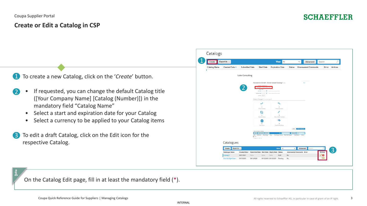## **Create or Edit a Catalog in CSP**

To create a new Catalog, click on the '*Create*' button. **41** 

- If requested, you can change the default Catalog title ([Your Company Name] [Catalog (Number)]) in the mandatory field "Catalog Name" 2
	- Select a start and expiration date for your Catalog
	- Select a currency to be applied to your Catalog items
- To edit a draft Catalog, click on the Edit icon for the respective Catalog. 3

| Create       | Export to v                        |                              |                                                             |                                                                    |                                                  | <b>View</b><br>A                           |                                        | ◡                               | Advanced                   | Search                |                |
|--------------|------------------------------------|------------------------------|-------------------------------------------------------------|--------------------------------------------------------------------|--------------------------------------------------|--------------------------------------------|----------------------------------------|---------------------------------|----------------------------|-----------------------|----------------|
| Catalog Name | Created Date v                     | <b>Submitted Date</b>        |                                                             | <b>Start Date</b>                                                  |                                                  | <b>Expiration Date</b>                     | Status                                 |                                 | <b>Unanswered Comments</b> |                       | Error Actions  |
|              |                                    |                              |                                                             |                                                                    |                                                  |                                            |                                        |                                 |                            |                       |                |
|              |                                    | Luke Consulting              |                                                             |                                                                    |                                                  |                                            |                                        |                                 |                            |                       |                |
|              |                                    |                              |                                                             |                                                                    | Konstantin GmbH - Gmail based Catalog 1 Edit     |                                            |                                        |                                 | Back                       |                       |                |
|              |                                    |                              |                                                             | * Catalog Name Xonstantin GmbH - Gmail b                           |                                                  |                                            |                                        |                                 |                            |                       |                |
|              |                                    |                              | Start Date                                                  | <b>Status Craft</b><br>$\mathfrak{m}$<br>midding                   | about prices become effective<br><b>Solombia</b> |                                            |                                        |                                 |                            |                       |                |
|              |                                    |                              |                                                             | $\mathfrak{m}$<br>Expiration Date (modeling<br>Currency USD $\sim$ | date when relative wines have                    |                                            |                                        |                                 |                            |                       |                |
|              |                                    |                              |                                                             | O Items Changed (O unchanged)                                      |                                                  |                                            |                                        |                                 |                            |                       |                |
|              |                                    |                              |                                                             | ᄽ                                                                  |                                                  | ↖                                          |                                        |                                 |                            |                       |                |
|              |                                    |                              |                                                             | $\circ$<br>Price Increase                                          |                                                  | $\circ$<br>Price Decrease                  |                                        |                                 |                            |                       |                |
|              |                                    |                              |                                                             | Ø                                                                  |                                                  |                                            |                                        |                                 |                            |                       |                |
|              |                                    |                              |                                                             | $\circ$<br>Rejected Items                                          |                                                  | $\circ$<br>Other Fields Updated            |                                        |                                 |                            |                       |                |
|              |                                    |                              |                                                             | NEW                                                                |                                                  | ಾ                                          |                                        |                                 |                            |                       |                |
|              |                                    |                              |                                                             | $\circ$<br>New Items                                               |                                                  | $\circ$<br>Deactivated Items               |                                        |                                 |                            |                       |                |
|              |                                    |                              |                                                             |                                                                    |                                                  |                                            |                                        | Stre Sabmit for Approval        |                            |                       |                |
|              |                                    |                              | Items Included in Catalog                                   | Create Load from file Export to -                                  |                                                  | View 30                                    | Advanced So                            |                                 |                            |                       |                |
|              |                                    |                              | Name<br>Part Number<br>No rows<br>Perpage 15   45   90      | Status Change                                                      | Price                                            | Price Change Currency Other Fields Changed |                                        | <b>Reject Reason</b><br>Actions |                            |                       |                |
|              | Catalogues                         |                              |                                                             |                                                                    |                                                  |                                            |                                        |                                 |                            |                       |                |
|              |                                    |                              |                                                             |                                                                    |                                                  |                                            |                                        |                                 |                            |                       |                |
|              | Export to $\sim$<br>Create         |                              |                                                             |                                                                    |                                                  | <b>View</b> All                            | $\checkmark$                           | Advanced                        | Search                     | مر                    | $\overline{3}$ |
|              | <b>Catalogue Name</b><br>Catalog 3 | Created Date -<br>06/01/2021 | <b>Submitted Date Start Date Expiry Date Status</b><br>None | None                                                               | None                                             | Draft                                      | <b>Unanswered Comments Error</b><br>No |                                 |                            | <b>Actions</b><br>′ା⊗ |                |
|              | One Six Eight Store -              | 09/12/2020                   | 09/12/2020                                                  |                                                                    |                                                  | 09/12/2020 02/12/2021 Pending              | No                                     |                                 |                            | Edit                  |                |

On the Catalog Edit page, fill in at least the mandatory field (\*).

INTERNAL

**SCHAEFFLER**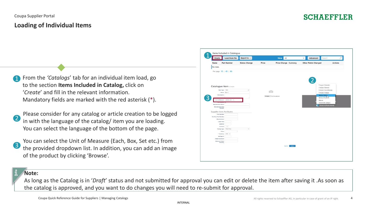#### **Loading of Individual Items**

- From the *'Catalogs*' tab for an individual item load, go to the section **Items Included in Catalog,** click on '*Create*' and fill in the relevant information. Mandatory fields are marked with the red asterisk (\*). 1
- 2 Please consider for any catalog or article creation to be logged in with the language of the catalog/ item you are loading. You can select the language of the bottom of the page.
- 3
- You can select the Unit of Measure (Each, Box, Set etc.) from the provided dropdown list. In addition, you can add an image of the product by clicking 'Browse'.

| Create                       | <b>Load from file</b>              | Export to $\sim$     |              | <b>View</b><br>All           | Advanced<br>Search<br>$\checkmark$         | Ω              |
|------------------------------|------------------------------------|----------------------|--------------|------------------------------|--------------------------------------------|----------------|
| <b>Name</b>                  | <b>Part Number</b>                 | <b>Status Change</b> | <b>Price</b> | <b>Price Change Currency</b> | <b>Other Fields Changed</b>                | <b>Actions</b> |
| No rows.                     |                                    |                      |              |                              |                                            |                |
|                              | Per page 15   45   90              |                      |              |                              |                                            |                |
|                              |                                    |                      |              |                              |                                            |                |
|                              | Catalogue Item Create              |                      |              |                              | Français (Canada)                          |                |
|                              | Item Type Item                     | $\checkmark$         |              |                              | Français (France)<br>Français (Luxembourg) |                |
|                              | *Name Item 1                       |                      |              | $\overline{\bigcirc}$        | Français (Suisse)                          |                |
| * Description                |                                    |                      |              |                              | Italiano (Italia).                         |                |
|                              |                                    |                      |              | Browse No file selected.     | Italiano (Svizzera)                        |                |
|                              | Unit of Measure Activity unit      |                      |              |                              | Magyar                                     |                |
|                              |                                    |                      |              |                              | Nederlands (België)                        |                |
| <b>Manufacturer Name</b>     |                                    |                      |              |                              | <b>RA</b> Doutsch (Doutschland)            |                |
| <b>Manufacturer Part</b>     | Number                             |                      |              |                              |                                            |                |
|                              | Supplier Item Attributes           |                      |              |                              |                                            |                |
| * Part Number                |                                    |                      |              |                              |                                            |                |
| <b>Auxiliary Part Number</b> |                                    |                      |              |                              |                                            |                |
| Manufacturer                 |                                    |                      |              |                              |                                            |                |
|                              | <b>Lead Time</b>                   |                      |              |                              |                                            |                |
|                              | <b>UNSPSC</b>                      |                      |              |                              |                                            |                |
|                              | $\check{~}$<br>Contract            |                      |              |                              |                                            |                |
|                              | <b>Fixed Price</b><br>Pricing Type | $\checkmark$         |              |                              |                                            |                |
|                              | * Price                            |                      |              |                              |                                            |                |
|                              | * Currency USD ~                   |                      |              |                              |                                            |                |
|                              | Savings %                          |                      |              |                              |                                            |                |
| Order Increment              |                                    |                      |              |                              |                                            |                |
| Minimum Order                | Quantity                           |                      |              |                              |                                            |                |
|                              |                                    |                      |              | Save<br>Cancel               |                                            |                |
|                              |                                    |                      |              |                              |                                            |                |
|                              |                                    |                      |              |                              |                                            |                |
|                              |                                    |                      |              |                              |                                            |                |

#### **Note:**

As long as the Catalog is in '*Draft*' status and not submitted for approval you can edit or delete the item after saving it .As soon as the catalog is approved, and you want to do changes you will need to re-submit for approval.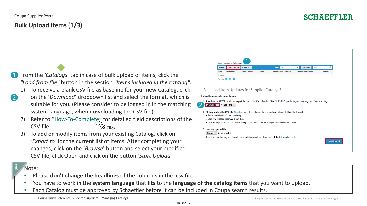## Coupa Supplier Portal **Bulk Upload Items (1/3)**

- From the *'Catalogs*' tab in case of bulk upload of items, click the *"Load from file"* button in the section *"Items included in the catalog"*. 1
	- 1) To receive a blank CSV file as baseline for your new Catalog, click
	- on the '*Download*' dropdown list and select the format, which is suitable for you. (Please consider to be logged in in the matching system language, when downloading the CSV file)
	- Refer to "[How-To-Complete](https://www.schaeffler.de/remotemedien/media/_shared_media_rwd/01_company_1/suppliers_4/coupa/schaeffler_coupa_catalog_field_description_examples_en.xlsx)" for detailed field descriptions of the CSV file. <sup>2</sup> Click
	- 3) To add or modify items from your existing Catalog, click on *'Export to'* for the current list of items. After completing your changes, click on the '*Browse*' button and select your modified CSV file, click Open and click on the button '*Start Upload*'.



#### Note:

2

- Please **don't change the headlines** of the columns in the .csv file
- You have to work in the **system language** that **fits** to the **language of the catalog items** that you want to upload.
- Each Catalog must be approved by Schaeffler before it can be included in Coupa search results.

INTERNAL

# **SCHAEFFLER**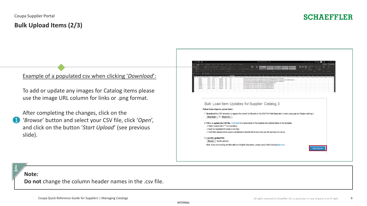## **SCHAEFFLER**

#### Example of a populated csv when clicking '*Download*':

To add or update any images for Catalog items please use the image URL column for links or .png format.

After completing the changes, click on the '*Browse*' button and select your CSV file, click '*Open*', and click on the button '*Start Upload*' (see previous slide). 1

| California<br><b>LE DE COPY</b>                       |                                                |                              | vit v A* A* 三三一 ※ - おWoo-Ted       |                                  |                                             |        |        |                        | 膨<br>Normal                                                                                                                                                                                                                                                                                                                   |                |              |    |         |    | 墨<br>靈 | 曲<br><b>Formal</b> | $\Sigma$ AutoSum<br>$\blacksquare$ |           | $4\sigma$              | 4         | $\mathbb{F}^3$ |
|-------------------------------------------------------|------------------------------------------------|------------------------------|------------------------------------|----------------------------------|---------------------------------------------|--------|--------|------------------------|-------------------------------------------------------------------------------------------------------------------------------------------------------------------------------------------------------------------------------------------------------------------------------------------------------------------------------|----------------|--------------|----|---------|----|--------|--------------------|------------------------------------|-----------|------------------------|-----------|----------------|
|                                                       | $B$ $I$ $U$ $\rightarrow$ $\Box$ $\rightarrow$ |                              |                                    |                                  | 소 - A -   또 등 등 된 편 Bistop & Cente          | $\sim$ | %, % % |                        | <b>Check Cell</b>                                                                                                                                                                                                                                                                                                             | Ventonotory T. |              |    |         |    |        |                    | $Q$ Gear $\overline{ }$            |           | Find &<br>Select v     |           |                |
| Cloboard<br>$\boldsymbol{\times}$                     | Ford<br>$\checkmark$ for                       |                              |                                    |                                  |                                             |        |        |                        |                                                                                                                                                                                                                                                                                                                               |                | <b>Cole</b>  |    |         |    | Cells  |                    |                                    | Editing   |                        |           | Sensitivity    |
|                                                       |                                                |                              |                                    |                                  |                                             |        | AN     | <b>AO</b><br><b>AP</b> | AO.<br>AR                                                                                                                                                                                                                                                                                                                     | AS.            | AT  <br>AU I | AV | AW   AX | AY | M      | BA -               | <b>BA</b>                          | <b>BC</b> | <b>RD</b><br><b>BF</b> | <b>BE</b> | <b>BG</b>      |
| m Type Supplier Pr Supplier Ar Name*<br><b>RESO12</b> | <b>Rem 1</b>                                   | Descriptio: Price*<br>Item 1 | 300 MYR                            | Currency" UOM code active"<br>EA | Yes                                         |        |        |                        | Item Class Lead Time Image UH Link O Title Link O URL Link 1 Title Link 1 URL Link 2 Title Link 2 Title Link 2 URL Link 3 Title Link 3 URL Link 3 Title Link 4 URL Link 5 Title Link 4 URL Link 5 Title Link 4 URL Link 5 Titl<br>https://cdn.shopify.com/s/files/1/1118/8312/products/Bo-One-Kit-parts_800x.jpg?v=1533958096 |                |              |    |         |    |        |                    |                                    |           |                        |           |                |
| <b>RESO13</b><br><b>RESO14</b>                        | <b>Rem 2</b><br><b>Rem 3</b>                   | Item 2<br><b>Item 3</b>      | 310 MYR<br>320 MYR                 | <b>EA</b><br>EA                  | Yes<br>Yes                                  |        |        |                        | https://i2.wp.com/www.vapenitro.com/main/wp-content/uploads/2019/07/8o-One-Starter-Kit-S.jpg/fit-503N2C570&ssl=1<br>https://cdn.shopify.com/s/files/1/1118/8312/products/Bo-One-Kit-parts_800x.jpg?v=1533958096                                                                                                               |                |              |    |         |    |        |                    |                                    |           |                        |           |                |
| <b>RESO15</b>                                         | <b>Item 4</b>                                  | Item 4                       | 330 MYR                            | EA                               | Yes                                         |        |        |                        | https://i.pinimg.com/474x/5d/14/t5/5df4b514ea3b8ec336fc0bd46dd9a15e.jpg                                                                                                                                                                                                                                                       |                |              |    |         |    |        |                    |                                    |           |                        |           |                |
| CAPS012<br>CAPS013                                    | hem 5<br>Item 6                                | Item 5<br>Item 6             | 250 MYR<br>300 MYR                 | EA<br>EA                         | Yes<br>Yes                                  |        |        |                        | https://images.vitber.com/product_main_v2/product/5b8fd563157f8.JPG<br>https://images.vitber.com/product_main_v2/product/5b8fd563157f8.JPG                                                                                                                                                                                    |                |              |    |         |    |        |                    |                                    |           |                        |           |                |
| CAPS014<br>CAPSOIS                                    | <b>Rem 7</b><br><b>Rem 8</b>                   | Item 7<br>Item 8             | 350 MYR<br>450 MYR                 | EA<br>EA                         | Yes<br>Yes                                  |        |        |                        | https://images.vitber.com/product_main_v2/product/5b8fd563157f8.JPG<br>https://images.vitber.com/product_main_v2/product/5b8fd563157f8.JPG                                                                                                                                                                                    |                |              |    |         |    |        |                    |                                    |           |                        |           |                |
|                                                       |                                                |                              |                                    |                                  |                                             |        |        |                        |                                                                                                                                                                                                                                                                                                                               |                |              |    |         |    |        |                    |                                    |           |                        |           |                |
|                                                       |                                                |                              |                                    |                                  |                                             |        |        |                        |                                                                                                                                                                                                                                                                                                                               |                |              |    |         |    |        |                    |                                    |           |                        |           |                |
|                                                       |                                                |                              |                                    |                                  |                                             |        |        |                        |                                                                                                                                                                                                                                                                                                                               |                |              |    |         |    |        |                    |                                    |           |                        |           |                |
|                                                       |                                                |                              |                                    |                                  |                                             |        |        |                        |                                                                                                                                                                                                                                                                                                                               |                |              |    |         |    |        |                    |                                    |           |                        |           |                |
|                                                       |                                                |                              |                                    |                                  |                                             |        |        |                        |                                                                                                                                                                                                                                                                                                                               |                |              |    |         |    |        |                    |                                    |           |                        |           |                |
|                                                       |                                                |                              |                                    |                                  |                                             |        |        |                        |                                                                                                                                                                                                                                                                                                                               |                |              |    |         |    |        |                    |                                    |           |                        |           |                |
|                                                       |                                                |                              |                                    |                                  |                                             |        |        |                        | Bulk Load Item Updates for Supplier Catalog 3                                                                                                                                                                                                                                                                                 |                |              |    |         |    |        |                    |                                    |           |                        |           |                |
|                                                       |                                                |                              | Follow these steps to upload items |                                  |                                             |        |        |                        |                                                                                                                                                                                                                                                                                                                               |                |              |    |         |    |        |                    |                                    |           |                        |           |                |
|                                                       |                                                |                              |                                    |                                  |                                             |        |        |                        |                                                                                                                                                                                                                                                                                                                               |                |              |    |         |    |        |                    |                                    |           |                        |           |                |
|                                                       |                                                |                              |                                    |                                  |                                             |        |        |                        | 1. Download the CSV template, or export the current list (Based on the CSV File Field Separator in your Language and Region settings.)                                                                                                                                                                                        |                |              |    |         |    |        |                    |                                    |           |                        |           |                |
|                                                       |                                                |                              | Download ~ Of Export to ~          |                                  |                                             |        |        |                        |                                                                                                                                                                                                                                                                                                                               |                |              |    |         |    |        |                    |                                    |           |                        |           |                |
|                                                       |                                                |                              |                                    |                                  |                                             |        |        |                        |                                                                                                                                                                                                                                                                                                                               |                |              |    |         |    |        |                    |                                    |           |                        |           |                |
|                                                       |                                                |                              |                                    |                                  |                                             |        |        |                        | 2. Fill in or update the CSV file. Click here for a description of the required and optional fields in the template.                                                                                                                                                                                                          |                |              |    |         |    |        |                    |                                    |           |                        |           |                |
|                                                       |                                                |                              |                                    |                                  | . Fields marked with a "*" are mandatory.   |        |        |                        |                                                                                                                                                                                                                                                                                                                               |                |              |    |         |    |        |                    |                                    |           |                        |           |                |
|                                                       |                                                |                              |                                    |                                  |                                             |        |        |                        |                                                                                                                                                                                                                                                                                                                               |                |              |    |         |    |        |                    |                                    |           |                        |           |                |
|                                                       |                                                |                              |                                    |                                  | · Each row uploaded will create a new item. |        |        |                        |                                                                                                                                                                                                                                                                                                                               |                |              |    |         |    |        |                    |                                    |           |                        |           |                |
|                                                       |                                                |                              |                                    |                                  |                                             |        |        |                        | . Click Start Upload and the system will attempt to load the first 6 rows from your file and show the results.                                                                                                                                                                                                                |                |              |    |         |    |        |                    |                                    |           |                        |           |                |
|                                                       |                                                |                              |                                    |                                  |                                             |        |        |                        |                                                                                                                                                                                                                                                                                                                               |                |              |    |         |    |        |                    |                                    |           |                        |           |                |
|                                                       |                                                |                              | 3. Load the updated file           |                                  |                                             |        |        |                        |                                                                                                                                                                                                                                                                                                                               |                |              |    |         |    |        |                    |                                    |           |                        |           |                |
|                                                       |                                                |                              | Browse No file selected.           |                                  |                                             |        |        |                        |                                                                                                                                                                                                                                                                                                                               |                |              |    |         |    |        |                    |                                    |           |                        |           |                |
|                                                       |                                                |                              |                                    |                                  |                                             |        |        |                        |                                                                                                                                                                                                                                                                                                                               |                |              |    |         |    |        |                    |                                    |           |                        |           |                |
|                                                       |                                                |                              |                                    |                                  |                                             |        |        |                        | Note: If you are loading csv files with non-English characters, please consult the followinghelp note.                                                                                                                                                                                                                        |                |              |    |         |    |        |                    |                                    |           | <b>Start Upload</b>    |           |                |

#### **Note:**

**Do not** change the column header names in the .csv file.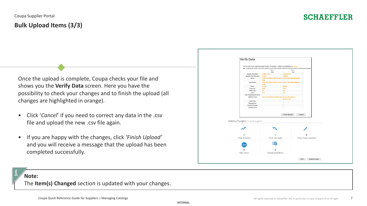Once the upload is complete, Coupa checks your file and shows you the **Verify Data** screen. Here you have the possibility to check your changes and to finish the upload (all changes are highlighted in orange).

- Click '*Cancel*' if you need to correct any data in the .csv file and upload the new .csv file again.
- If you are happy with the changes, click *'Finish Upload'* and you will receive a message that the upload has been completed successfully.



#### **Note:**

The **Item(s) Changed** section is updated with your changes.